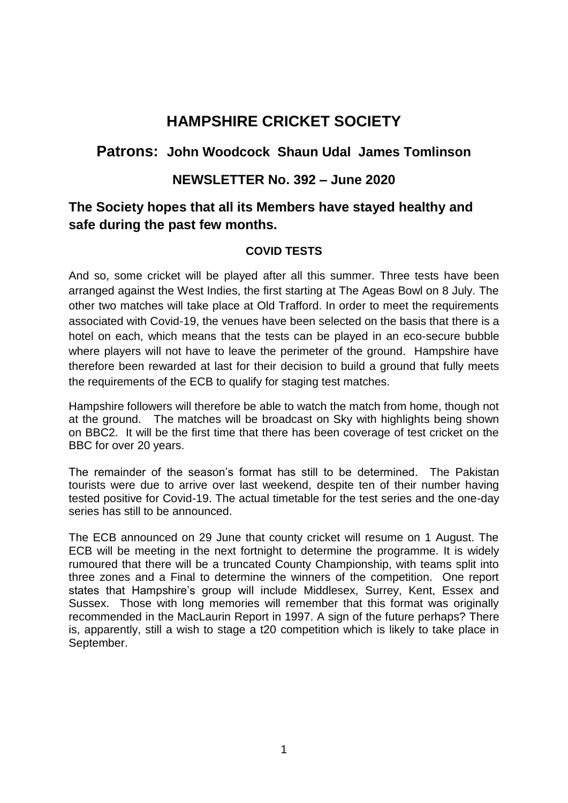# **HAMPSHIRE CRICKET SOCIETY**

## **Patrons: John Woodcock Shaun Udal James Tomlinson**

### **NEWSLETTER No. 392 – June 2020**

# **The Society hopes that all its Members have stayed healthy and safe during the past few months.**

#### **COVID TESTS**

And so, some cricket will be played after all this summer. Three tests have been arranged against the West Indies, the first starting at The Ageas Bowl on 8 July. The other two matches will take place at Old Trafford. In order to meet the requirements associated with Covid-19, the venues have been selected on the basis that there is a hotel on each, which means that the tests can be played in an eco-secure bubble where players will not have to leave the perimeter of the ground. Hampshire have therefore been rewarded at last for their decision to build a ground that fully meets the requirements of the ECB to qualify for staging test matches.

Hampshire followers will therefore be able to watch the match from home, though not at the ground. The matches will be broadcast on Sky with highlights being shown on BBC2. It will be the first time that there has been coverage of test cricket on the BBC for over 20 years.

The remainder of the season's format has still to be determined. The Pakistan tourists were due to arrive over last weekend, despite ten of their number having tested positive for Covid-19. The actual timetable for the test series and the one-day series has still to be announced.

The ECB announced on 29 June that county cricket will resume on 1 August. The ECB will be meeting in the next fortnight to determine the programme. It is widely rumoured that there will be a truncated County Championship, with teams split into three zones and a Final to determine the winners of the competition. One report states that Hampshire's group will include Middlesex, Surrey, Kent, Essex and Sussex. Those with long memories will remember that this format was originally recommended in the MacLaurin Report in 1997. A sign of the future perhaps? There is, apparently, still a wish to stage a t20 competition which is likely to take place in September.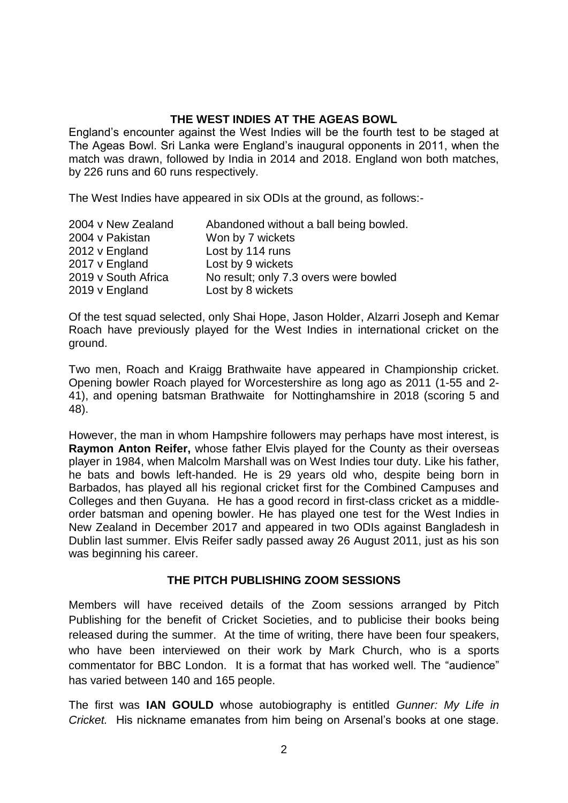#### **THE WEST INDIES AT THE AGEAS BOWL**

England's encounter against the West Indies will be the fourth test to be staged at The Ageas Bowl. Sri Lanka were England's inaugural opponents in 2011, when the match was drawn, followed by India in 2014 and 2018. England won both matches, by 226 runs and 60 runs respectively.

The West Indies have appeared in six ODIs at the ground, as follows:-

| 2004 v New Zealand  | Abandoned without a ball being bowled. |
|---------------------|----------------------------------------|
| 2004 v Pakistan     | Won by 7 wickets                       |
| 2012 v England      | Lost by 114 runs                       |
| 2017 v England      | Lost by 9 wickets                      |
| 2019 v South Africa | No result; only 7.3 overs were bowled  |
| 2019 v England      | Lost by 8 wickets                      |

Of the test squad selected, only Shai Hope, Jason Holder, Alzarri Joseph and Kemar Roach have previously played for the West Indies in international cricket on the ground.

Two men, Roach and Kraigg Brathwaite have appeared in Championship cricket. Opening bowler Roach played for Worcestershire as long ago as 2011 (1-55 and 2- 41), and opening batsman Brathwaite for Nottinghamshire in 2018 (scoring 5 and 48).

However, the man in whom Hampshire followers may perhaps have most interest, is **Raymon Anton Reifer,** whose father Elvis played for the County as their overseas player in 1984, when Malcolm Marshall was on West Indies tour duty. Like his father, he bats and bowls left-handed. He is 29 years old who, despite being born in Barbados, has played all his regional cricket first for the Combined Campuses and Colleges and then Guyana. He has a good record in first-class cricket as a middleorder batsman and opening bowler. He has played one test for the West Indies in New Zealand in December 2017 and appeared in two ODIs against Bangladesh in Dublin last summer. Elvis Reifer sadly passed away 26 August 2011, just as his son was beginning his career.

#### **THE PITCH PUBLISHING ZOOM SESSIONS**

Members will have received details of the Zoom sessions arranged by Pitch Publishing for the benefit of Cricket Societies, and to publicise their books being released during the summer. At the time of writing, there have been four speakers, who have been interviewed on their work by Mark Church, who is a sports commentator for BBC London. It is a format that has worked well. The "audience" has varied between 140 and 165 people.

The first was **IAN GOULD** whose autobiography is entitled *Gunner: My Life in Cricket.* His nickname emanates from him being on Arsenal's books at one stage.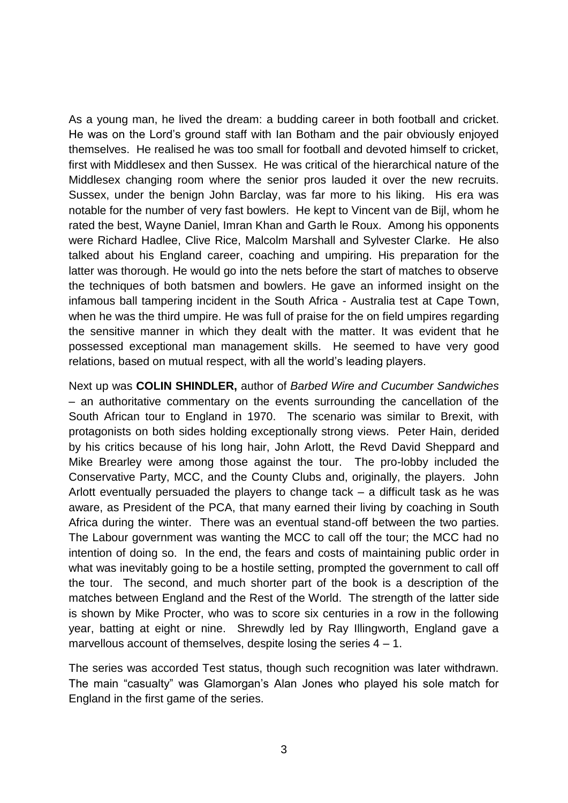As a young man, he lived the dream: a budding career in both football and cricket. He was on the Lord's ground staff with Ian Botham and the pair obviously enjoyed themselves. He realised he was too small for football and devoted himself to cricket, first with Middlesex and then Sussex. He was critical of the hierarchical nature of the Middlesex changing room where the senior pros lauded it over the new recruits. Sussex, under the benign John Barclay, was far more to his liking. His era was notable for the number of very fast bowlers. He kept to Vincent van de Bijl, whom he rated the best, Wayne Daniel, Imran Khan and Garth le Roux. Among his opponents were Richard Hadlee, Clive Rice, Malcolm Marshall and Sylvester Clarke. He also talked about his England career, coaching and umpiring. His preparation for the latter was thorough. He would go into the nets before the start of matches to observe the techniques of both batsmen and bowlers. He gave an informed insight on the infamous ball tampering incident in the South Africa - Australia test at Cape Town, when he was the third umpire. He was full of praise for the on field umpires regarding the sensitive manner in which they dealt with the matter. It was evident that he possessed exceptional man management skills. He seemed to have very good relations, based on mutual respect, with all the world's leading players.

Next up was **COLIN SHINDLER,** author of *Barbed Wire and Cucumber Sandwiches –* an authoritative commentary on the events surrounding the cancellation of the South African tour to England in 1970. The scenario was similar to Brexit, with protagonists on both sides holding exceptionally strong views. Peter Hain, derided by his critics because of his long hair, John Arlott, the Revd David Sheppard and Mike Brearley were among those against the tour. The pro-lobby included the Conservative Party, MCC, and the County Clubs and, originally, the players. John Arlott eventually persuaded the players to change tack – a difficult task as he was aware, as President of the PCA, that many earned their living by coaching in South Africa during the winter. There was an eventual stand-off between the two parties. The Labour government was wanting the MCC to call off the tour; the MCC had no intention of doing so. In the end, the fears and costs of maintaining public order in what was inevitably going to be a hostile setting, prompted the government to call off the tour. The second, and much shorter part of the book is a description of the matches between England and the Rest of the World. The strength of the latter side is shown by Mike Procter, who was to score six centuries in a row in the following year, batting at eight or nine. Shrewdly led by Ray Illingworth, England gave a marvellous account of themselves, despite losing the series  $4 - 1$ .

The series was accorded Test status, though such recognition was later withdrawn. The main "casualty" was Glamorgan's Alan Jones who played his sole match for England in the first game of the series.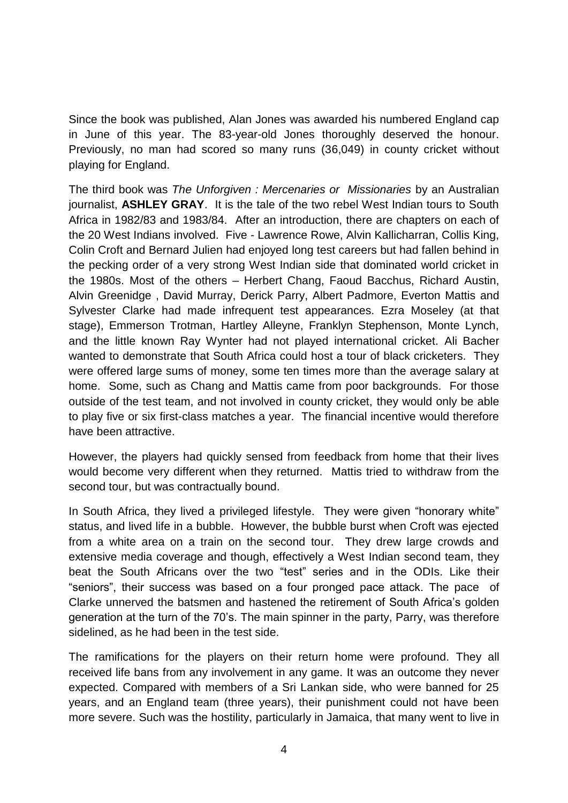Since the book was published, Alan Jones was awarded his numbered England cap in June of this year. The 83-year-old Jones thoroughly deserved the honour. Previously, no man had scored so many runs (36,049) in county cricket without playing for England.

The third book was *The Unforgiven : Mercenaries or Missionaries* by an Australian journalist, **ASHLEY GRAY**. It is the tale of the two rebel West Indian tours to South Africa in 1982/83 and 1983/84. After an introduction, there are chapters on each of the 20 West Indians involved. Five - Lawrence Rowe, Alvin Kallicharran, Collis King, Colin Croft and Bernard Julien had enjoyed long test careers but had fallen behind in the pecking order of a very strong West Indian side that dominated world cricket in the 1980s. Most of the others – Herbert Chang, Faoud Bacchus, Richard Austin, Alvin Greenidge , David Murray, Derick Parry, Albert Padmore, Everton Mattis and Sylvester Clarke had made infrequent test appearances. Ezra Moseley (at that stage), Emmerson Trotman, Hartley Alleyne, Franklyn Stephenson, Monte Lynch, and the little known Ray Wynter had not played international cricket. Ali Bacher wanted to demonstrate that South Africa could host a tour of black cricketers. They were offered large sums of money, some ten times more than the average salary at home. Some, such as Chang and Mattis came from poor backgrounds. For those outside of the test team, and not involved in county cricket, they would only be able to play five or six first-class matches a year. The financial incentive would therefore have been attractive.

However, the players had quickly sensed from feedback from home that their lives would become very different when they returned. Mattis tried to withdraw from the second tour, but was contractually bound.

In South Africa, they lived a privileged lifestyle. They were given "honorary white" status, and lived life in a bubble. However, the bubble burst when Croft was ejected from a white area on a train on the second tour. They drew large crowds and extensive media coverage and though, effectively a West Indian second team, they beat the South Africans over the two "test" series and in the ODIs. Like their "seniors", their success was based on a four pronged pace attack. The pace of Clarke unnerved the batsmen and hastened the retirement of South Africa's golden generation at the turn of the 70's. The main spinner in the party, Parry, was therefore sidelined, as he had been in the test side.

The ramifications for the players on their return home were profound. They all received life bans from any involvement in any game. It was an outcome they never expected. Compared with members of a Sri Lankan side, who were banned for 25 years, and an England team (three years), their punishment could not have been more severe. Such was the hostility, particularly in Jamaica, that many went to live in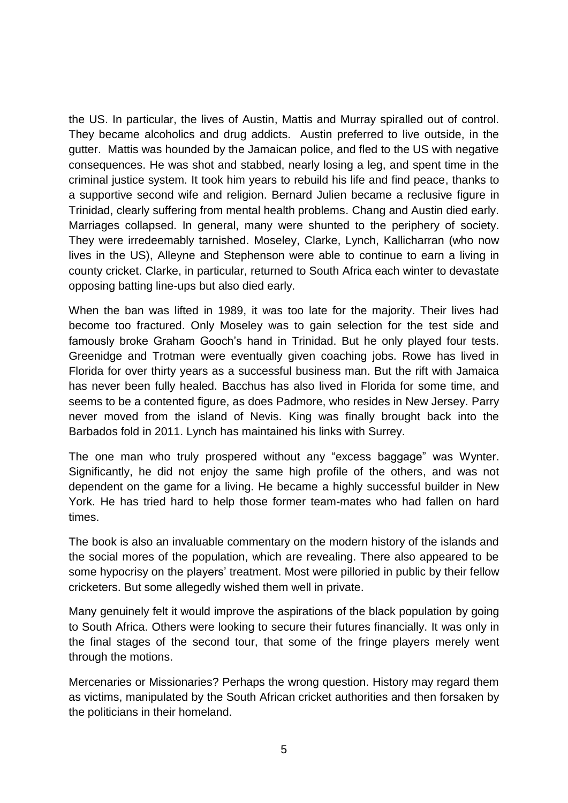the US. In particular, the lives of Austin, Mattis and Murray spiralled out of control. They became alcoholics and drug addicts. Austin preferred to live outside, in the gutter. Mattis was hounded by the Jamaican police, and fled to the US with negative consequences. He was shot and stabbed, nearly losing a leg, and spent time in the criminal justice system. It took him years to rebuild his life and find peace, thanks to a supportive second wife and religion. Bernard Julien became a reclusive figure in Trinidad, clearly suffering from mental health problems. Chang and Austin died early. Marriages collapsed. In general, many were shunted to the periphery of society. They were irredeemably tarnished. Moseley, Clarke, Lynch, Kallicharran (who now lives in the US), Alleyne and Stephenson were able to continue to earn a living in county cricket. Clarke, in particular, returned to South Africa each winter to devastate opposing batting line-ups but also died early.

When the ban was lifted in 1989, it was too late for the majority. Their lives had become too fractured. Only Moseley was to gain selection for the test side and famously broke Graham Gooch's hand in Trinidad. But he only played four tests. Greenidge and Trotman were eventually given coaching jobs. Rowe has lived in Florida for over thirty years as a successful business man. But the rift with Jamaica has never been fully healed. Bacchus has also lived in Florida for some time, and seems to be a contented figure, as does Padmore, who resides in New Jersey. Parry never moved from the island of Nevis. King was finally brought back into the Barbados fold in 2011. Lynch has maintained his links with Surrey.

The one man who truly prospered without any "excess baggage" was Wynter. Significantly, he did not enjoy the same high profile of the others, and was not dependent on the game for a living. He became a highly successful builder in New York. He has tried hard to help those former team-mates who had fallen on hard times.

The book is also an invaluable commentary on the modern history of the islands and the social mores of the population, which are revealing. There also appeared to be some hypocrisy on the players' treatment. Most were pilloried in public by their fellow cricketers. But some allegedly wished them well in private.

Many genuinely felt it would improve the aspirations of the black population by going to South Africa. Others were looking to secure their futures financially. It was only in the final stages of the second tour, that some of the fringe players merely went through the motions.

Mercenaries or Missionaries? Perhaps the wrong question. History may regard them as victims, manipulated by the South African cricket authorities and then forsaken by the politicians in their homeland.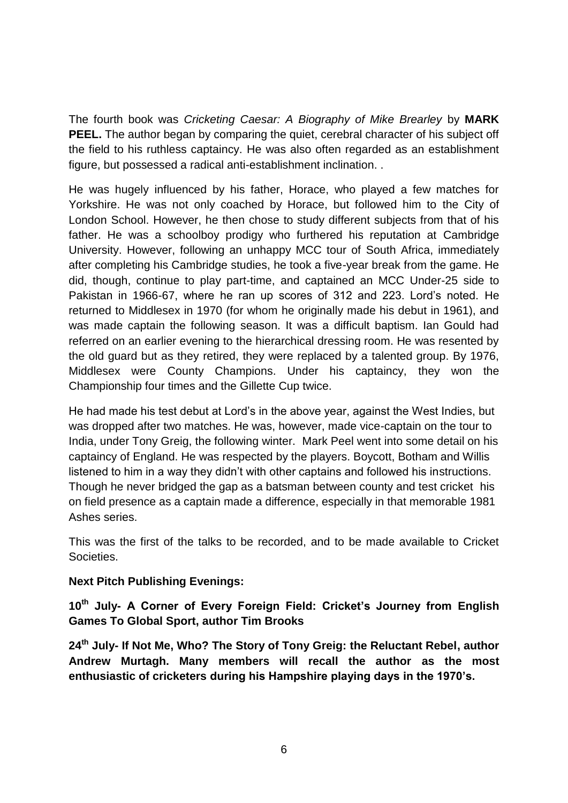The fourth book was *Cricketing Caesar: A Biography of Mike Brearley* by **MARK PEEL.** The author began by comparing the quiet, cerebral character of his subject off the field to his ruthless captaincy. He was also often regarded as an establishment figure, but possessed a radical anti-establishment inclination. .

He was hugely influenced by his father, Horace, who played a few matches for Yorkshire. He was not only coached by Horace, but followed him to the City of London School. However, he then chose to study different subjects from that of his father. He was a schoolboy prodigy who furthered his reputation at Cambridge University. However, following an unhappy MCC tour of South Africa, immediately after completing his Cambridge studies, he took a five-year break from the game. He did, though, continue to play part-time, and captained an MCC Under-25 side to Pakistan in 1966-67, where he ran up scores of 312 and 223. Lord's noted. He returned to Middlesex in 1970 (for whom he originally made his debut in 1961), and was made captain the following season. It was a difficult baptism. Ian Gould had referred on an earlier evening to the hierarchical dressing room. He was resented by the old guard but as they retired, they were replaced by a talented group. By 1976, Middlesex were County Champions. Under his captaincy, they won the Championship four times and the Gillette Cup twice.

He had made his test debut at Lord's in the above year, against the West Indies, but was dropped after two matches. He was, however, made vice-captain on the tour to India, under Tony Greig, the following winter. Mark Peel went into some detail on his captaincy of England. He was respected by the players. Boycott, Botham and Willis listened to him in a way they didn't with other captains and followed his instructions. Though he never bridged the gap as a batsman between county and test cricket his on field presence as a captain made a difference, especially in that memorable 1981 Ashes series.

This was the first of the talks to be recorded, and to be made available to Cricket Societies.

### **Next Pitch Publishing Evenings:**

**10th July- A Corner of Every Foreign Field: Cricket's Journey from English Games To Global Sport, author Tim Brooks**

**24th July- If Not Me, Who? The Story of Tony Greig: the Reluctant Rebel, author Andrew Murtagh. Many members will recall the author as the most enthusiastic of cricketers during his Hampshire playing days in the 1970's.**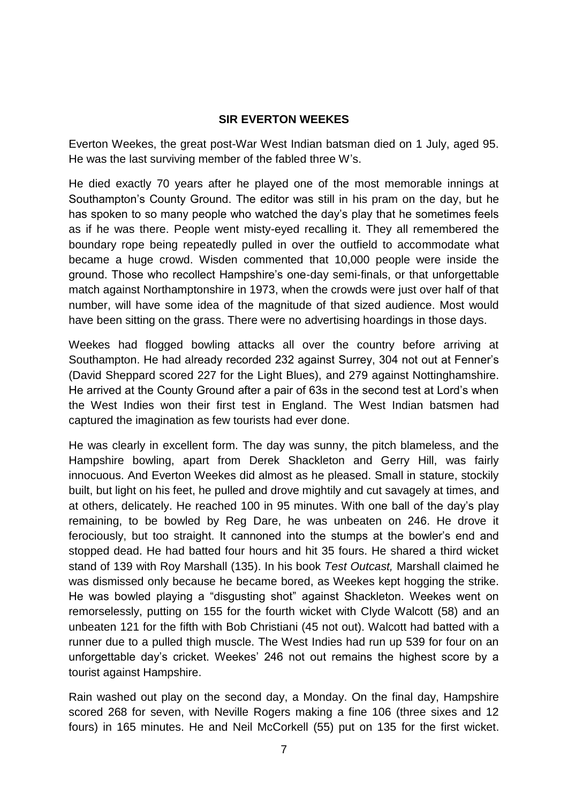#### **SIR EVERTON WEEKES**

Everton Weekes, the great post-War West Indian batsman died on 1 July, aged 95. He was the last surviving member of the fabled three W's.

He died exactly 70 years after he played one of the most memorable innings at Southampton's County Ground. The editor was still in his pram on the day, but he has spoken to so many people who watched the day's play that he sometimes feels as if he was there. People went misty-eyed recalling it. They all remembered the boundary rope being repeatedly pulled in over the outfield to accommodate what became a huge crowd. Wisden commented that 10,000 people were inside the ground. Those who recollect Hampshire's one-day semi-finals, or that unforgettable match against Northamptonshire in 1973, when the crowds were just over half of that number, will have some idea of the magnitude of that sized audience. Most would have been sitting on the grass. There were no advertising hoardings in those days.

Weekes had flogged bowling attacks all over the country before arriving at Southampton. He had already recorded 232 against Surrey, 304 not out at Fenner's (David Sheppard scored 227 for the Light Blues), and 279 against Nottinghamshire. He arrived at the County Ground after a pair of 63s in the second test at Lord's when the West Indies won their first test in England. The West Indian batsmen had captured the imagination as few tourists had ever done.

He was clearly in excellent form. The day was sunny, the pitch blameless, and the Hampshire bowling, apart from Derek Shackleton and Gerry Hill, was fairly innocuous. And Everton Weekes did almost as he pleased. Small in stature, stockily built, but light on his feet, he pulled and drove mightily and cut savagely at times, and at others, delicately. He reached 100 in 95 minutes. With one ball of the day's play remaining, to be bowled by Reg Dare, he was unbeaten on 246. He drove it ferociously, but too straight. It cannoned into the stumps at the bowler's end and stopped dead. He had batted four hours and hit 35 fours. He shared a third wicket stand of 139 with Roy Marshall (135). In his book *Test Outcast,* Marshall claimed he was dismissed only because he became bored, as Weekes kept hogging the strike. He was bowled playing a "disgusting shot" against Shackleton. Weekes went on remorselessly, putting on 155 for the fourth wicket with Clyde Walcott (58) and an unbeaten 121 for the fifth with Bob Christiani (45 not out). Walcott had batted with a runner due to a pulled thigh muscle. The West Indies had run up 539 for four on an unforgettable day's cricket. Weekes' 246 not out remains the highest score by a tourist against Hampshire.

Rain washed out play on the second day, a Monday. On the final day, Hampshire scored 268 for seven, with Neville Rogers making a fine 106 (three sixes and 12 fours) in 165 minutes. He and Neil McCorkell (55) put on 135 for the first wicket.